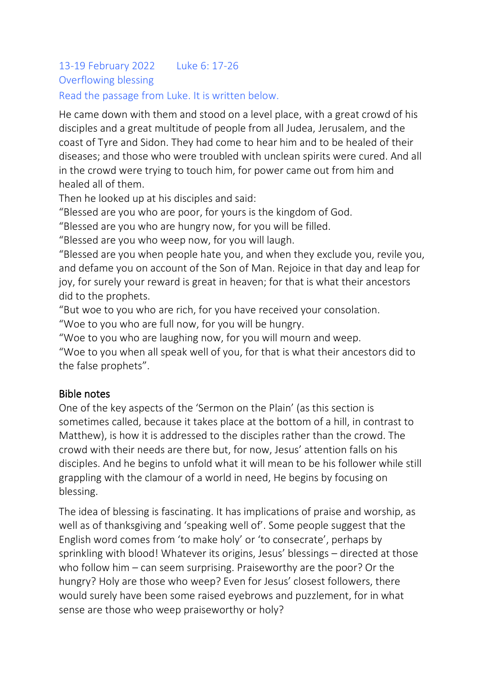# 13-19 February 2022 Luke 6: 17-26 Overflowing blessing

## Read the passage from Luke. It is written below.

He came down with them and stood on a level place, with a great crowd of his disciples and a great multitude of people from all Judea, Jerusalem, and the coast of Tyre and Sidon. They had come to hear him and to be healed of their diseases; and those who were troubled with unclean spirits were cured. And all in the crowd were trying to touch him, for power came out from him and healed all of them.

Then he looked up at his disciples and said:

"Blessed are you who are poor, for yours is the kingdom of God.

"Blessed are you who are hungry now, for you will be filled.

"Blessed are you who weep now, for you will laugh.

"Blessed are you when people hate you, and when they exclude you, revile you, and defame you on account of the Son of Man. Rejoice in that day and leap for joy, for surely your reward is great in heaven; for that is what their ancestors did to the prophets.

"But woe to you who are rich, for you have received your consolation.

"Woe to you who are full now, for you will be hungry.

"Woe to you who are laughing now, for you will mourn and weep.

"Woe to you when all speak well of you, for that is what their ancestors did to the false prophets".

# Bible notes

One of the key aspects of the 'Sermon on the Plain' (as this section is sometimes called, because it takes place at the bottom of a hill, in contrast to Matthew), is how it is addressed to the disciples rather than the crowd. The crowd with their needs are there but, for now, Jesus' attention falls on his disciples. And he begins to unfold what it will mean to be his follower while still grappling with the clamour of a world in need, He begins by focusing on blessing.

The idea of blessing is fascinating. It has implications of praise and worship, as well as of thanksgiving and 'speaking well of'. Some people suggest that the English word comes from 'to make holy' or 'to consecrate', perhaps by sprinkling with blood! Whatever its origins, Jesus' blessings – directed at those who follow him – can seem surprising. Praiseworthy are the poor? Or the hungry? Holy are those who weep? Even for Jesus' closest followers, there would surely have been some raised eyebrows and puzzlement, for in what sense are those who weep praiseworthy or holy?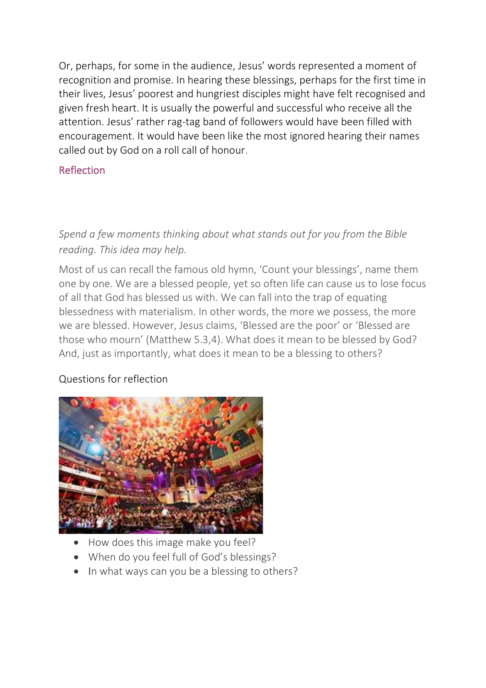Or, perhaps, for some in the audience, Jesus' words represented a moment of recognition and promise. In hearing these blessings, perhaps for the first time in their lives, Jesus' poorest and hungriest disciples might have felt recognised and given fresh heart. It is usually the powerful and successful who receive all the attention. Jesus' rather rag-tag band of followers would have been filled with encouragement. It would have been like the most ignored hearing their names called out by God on a roll call of honour.

# Reflection

# *Spend a few moments thinking about what stands out for you from the Bible reading. This idea may help.*

Most of us can recall the famous old hymn, 'Count your blessings', name them one by one. We are a blessed people, yet so often life can cause us to lose focus of all that God has blessed us with. We can fall into the trap of equating blessedness with materialism. In other words, the more we possess, the more we are blessed. However, Jesus claims, 'Blessed are the poor' or 'Blessed are those who mourn' (Matthew 5.3,4). What does it mean to be blessed by God? And, just as importantly, what does it mean to be a blessing to others?

# Questions for reflection



- How does this image make you feel?
- When do you feel full of God's blessings?
- In what ways can you be a blessing to others?